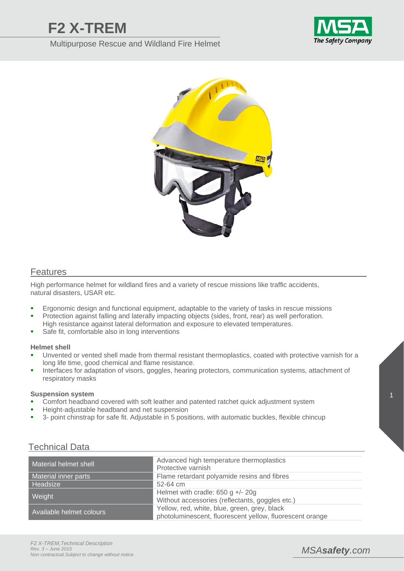# **F2 X-TREM**

Multipurpose Rescue and Wildland Fire Helmet





## **Features**

High performance helmet for wildland fires and a variety of rescue missions like traffic accidents, natural disasters, USAR etc.

- **Example 1** Ergonomic design and functional equipment, adaptable to the variety of tasks in rescue missions
- **Protection against falling and laterally impacting objects (sides, front, rear) as well perforation.** High resistance against lateral deformation and exposure to elevated temperatures.
- Safe fit, comfortable also in long interventions

#### **Helmet shell**

- Unvented or vented shell made from thermal resistant thermoplastics, coated with protective varnish for a long life time, good chemical and flame resistance.
- Interfaces for adaptation of visors, goggles, hearing protectors, communication systems, attachment of respiratory masks

#### **Suspension system**

- Comfort headband covered with soft leather and patented ratchet quick adjustment system
- Height-adjustable headband and net suspension
- 3- point chinstrap for safe fit. Adjustable in 5 positions, with automatic buckles, flexible chincup

| Material helmet shell    | Advanced high temperature thermoplastics<br>Protective varnish                                           |
|--------------------------|----------------------------------------------------------------------------------------------------------|
| Material inner parts     | Flame retardant polyamide resins and fibres                                                              |
| Headsize                 | 52-64 cm                                                                                                 |
| Weight                   | Helmet with cradle: $650$ g $+/- 20$ g                                                                   |
|                          | Without accessories (reflectants, goggles etc.)                                                          |
| Available helmet colours | Yellow, red, white, blue, green, grey, black<br>photoluminescent, fluorescent yellow, fluorescent orange |

## Technical Data

## *MSAsafety.com*

1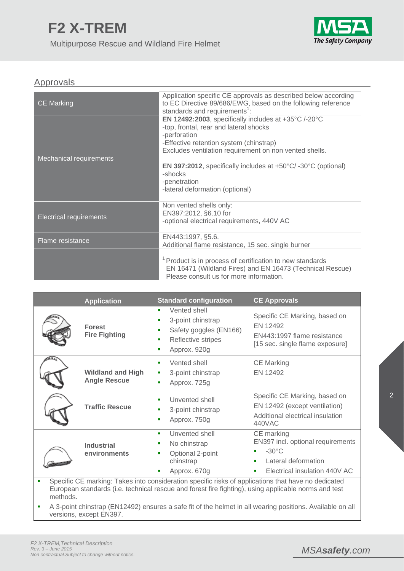Multipurpose Rescue and Wildland Fire Helmet



## Approvals

| <b>CE Marking</b>              | Application specific CE approvals as described below according<br>to EC Directive 89/686/EWG, based on the following reference<br>standards and requirements <sup>1</sup> :                                                                                                                                                                                                                 |
|--------------------------------|---------------------------------------------------------------------------------------------------------------------------------------------------------------------------------------------------------------------------------------------------------------------------------------------------------------------------------------------------------------------------------------------|
| Mechanical requirements        | EN 12492:2003, specifically includes at $+35^{\circ}$ C /-20 $^{\circ}$ C<br>-top, frontal, rear and lateral shocks<br>-perforation<br>-Effective retention system (chinstrap)<br>Excludes ventilation requirement on non vented shells.<br>EN 397:2012, specifically includes at $+50^{\circ}$ C/-30 $^{\circ}$ C (optional)<br>-shocks<br>-penetration<br>-lateral deformation (optional) |
| <b>Electrical requirements</b> | Non vented shells only:<br>EN397:2012, §6.10 for<br>-optional electrical requirements, 440V AC                                                                                                                                                                                                                                                                                              |
| Flame resistance               | EN443:1997, §5.6.<br>Additional flame resistance, 15 sec. single burner                                                                                                                                                                                                                                                                                                                     |
|                                | <sup>1</sup> Product is in process of certification to new standards<br>EN 16471 (Wildland Fires) and EN 16473 (Technical Rescue)<br>Please consult us for more information.                                                                                                                                                                                                                |

|             | <b>Application</b>                              | <b>Standard configuration</b>                                                                                         | <b>CE Approvals</b>                                                                                                                                                                                                                         |  |  |  |  |
|-------------|-------------------------------------------------|-----------------------------------------------------------------------------------------------------------------------|---------------------------------------------------------------------------------------------------------------------------------------------------------------------------------------------------------------------------------------------|--|--|--|--|
|             | <b>Forest</b><br><b>Fire Fighting</b>           | Vented shell<br>٠<br>3-point chinstrap<br>Safety goggles (EN166)<br>п<br>Reflective stripes<br>п<br>Approx. 920g<br>п | Specific CE Marking, based on<br>EN 12492<br>EN443:1997 flame resistance<br>[15 sec. single flame exposure]                                                                                                                                 |  |  |  |  |
| <b>THUT</b> | <b>Wildland and High</b><br><b>Angle Rescue</b> | Vented shell<br>٠<br>3-point chinstrap<br>п<br>Approx. 725g<br>п                                                      | <b>CE Marking</b><br>EN 12492                                                                                                                                                                                                               |  |  |  |  |
|             | <b>Traffic Rescue</b>                           | Unvented shell<br>3-point chinstrap<br>Approx. 750g                                                                   | Specific CE Marking, based on<br>EN 12492 (except ventilation)<br>Additional electrical insulation<br>440VAC                                                                                                                                |  |  |  |  |
|             | <b>Industrial</b><br>environments               | Unvented shell<br>٠<br>No chinstrap<br>Optional 2-point<br>chinstrap<br>Approx. 670g                                  | CE marking<br>EN397 incl. optional requirements<br>$-30^{\circ}$ C<br>Lateral deformation<br>п<br>Electrical insulation 440V AC<br>ш<br>Specific CE marking: Takes into consideration specific risks of applications that have no dedicated |  |  |  |  |
|             |                                                 | $\mathbf{r}$ , $\mathbf{r}$ , $\mathbf{r}$ , $\mathbf{r}$ , $\mathbf{r}$ , $\mathbf{r}$ , $\mathbf{r}$ , $\mathbf{r}$ |                                                                                                                                                                                                                                             |  |  |  |  |

European standards (i.e. technical rescue and forest fire fighting), using applicable norms and test methods.

 A 3-point chinstrap (EN12492) ensures a safe fit of the helmet in all wearing positions. Available on all versions, except EN397.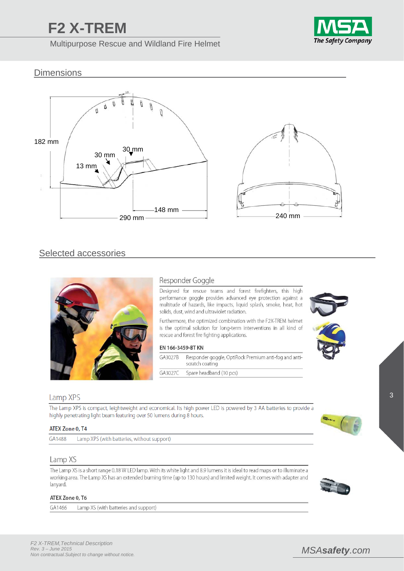# **F2 X-TREM**

Multipurpose Rescue and Wildland Fire Helmet



## **Dimensions**



## Selected accessories



## Responder Goggle

Designed for rescue teams and forest firefighters, this high performance goggle provides advanced eye protection against a multitude of hazards, like impacts, liquid splash, smoke, heat, hot solids, dust, wind and ultraviolet radiation.

Furthermore, the optimized combination with the F2X-TREM helmet is the optimal solution for long-term interventions in all kind of rescue and forest fire fighting applications.

#### EN 166-3459-BT KN

| GA3027B | Responder goggle, OptiRock Premium anti-fog and anti-<br>scratch coating |
|---------|--------------------------------------------------------------------------|
| GA3027C | Spare headband (10 pcs)                                                  |





#### Lamp XPS

The Lamp XPS is compact, leightweight and economical. Its high power LED is powered by 3 AA batteries to provide a highly penetrating light beam featuring over 50 lumens during 8 hours.

#### ATEX Zone 0, T4

GA1488 Lamp XPS (with batteries, without support)

#### Lamp XS

The Lamp XS is a short range 0.18 W LED lamp. With its white light and 8.9 lumens it is ideal to read maps or to illuminate a working area. The Lamp XS has an extended burning time (up to 130 hours) and limited weight. It comes with adapter and lanyard.

#### ATEX Zone 0, T6

GA1466 Lamp XS (with batteries and support)





## *MSAsafety.com*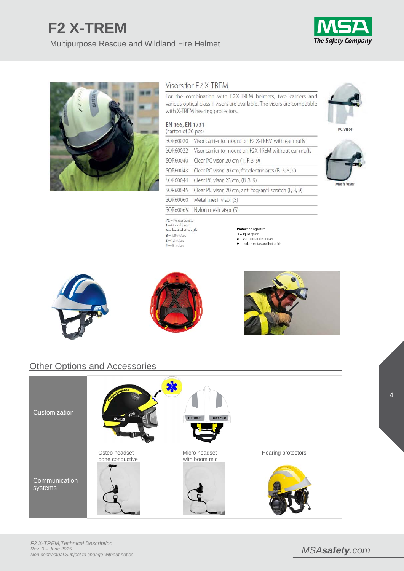# **F2 X-TREM**

## Multipurpose Rescue and Wildland Fire Helmet





### Visors for F2 X-TREM

For the combination with F2X-TREM helmets, two carriers and various optical class 1 visors are available. The visors are compatible with X-TREM hearing protectors.

#### EN 166, EN 1731 (carton of 20 pcs)

| <b><i>Call LOLL OF ZO DC31</i></b> |                                                                 |
|------------------------------------|-----------------------------------------------------------------|
|                                    | SOR60020 Visor carrier to mount on F2 X-TREM with ear muffs     |
|                                    | SOR60022 Visor carrier to mount on F2X-TREM without ear muffs   |
|                                    | SOR60040 Clear PC visor, 20 cm (1, F, 3, 9)                     |
|                                    | SOR60043 Clear PC visor, 20 cm, for electric arcs (B, 3, 8, 9)  |
|                                    | SOR60044 Clear PC visor, 23 cm, (B, 3, 9)                       |
|                                    | SOR60045 Clear PC visor, 20 cm, anti-fog/anti-scratch (F, 3, 9) |
|                                    | SOR60060 Metal mesh visor (S)                                   |
|                                    | SOR60065 Nylon mesh visor (S)                                   |
|                                    |                                                                 |

**Protection against:**  $3 =$  liquid splash  $8 =$ short circuit electric arc

 $9$  = molten metals and hot solids



DC Visor







 $PC = Polycarbonate$  $1 =$  Optical class 1 Mechanical strength:<br> $B = 120 \text{ m/sec}$ 

 $S = 12 \text{ m/sec}$ 

 $F = 45$  m/sec



## Other Options and Accessories

| Customization | ngsdlenst<br><b>MSA</b> | <b>RESCUE</b><br><b>RESCUE</b> |                           |
|---------------|-------------------------|--------------------------------|---------------------------|
| Communication | Osteo headset           | Micro headset                  | <b>Hearing protectors</b> |
| systems       | bone conductive         | with boom mic                  |                           |



4